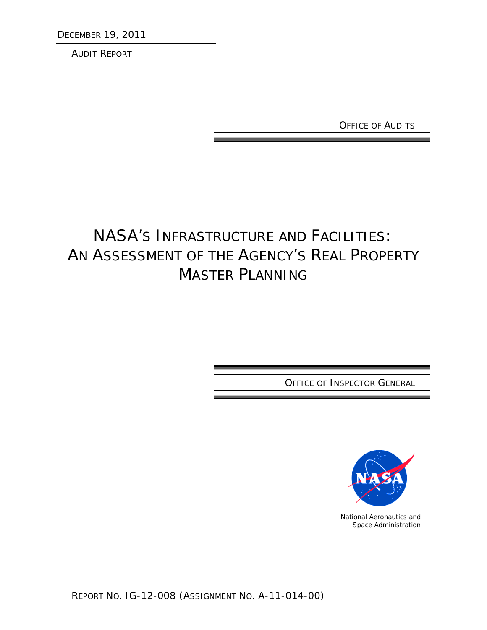DECEMBER 19, 2011

AUDIT REPORT

OFFICE OF AUDITS

# NASA'S INFRASTRUCTURE AND FACILITIES: AN ASSESSMENT OF THE AGENCY'S REAL PROPERTY MASTER PLANNING

OFFICE OF INSPECTOR GENERAL



National Aeronautics and Space Administration

REPORT NO. IG-12-008 (ASSIGNMENT NO. A-11-014-00)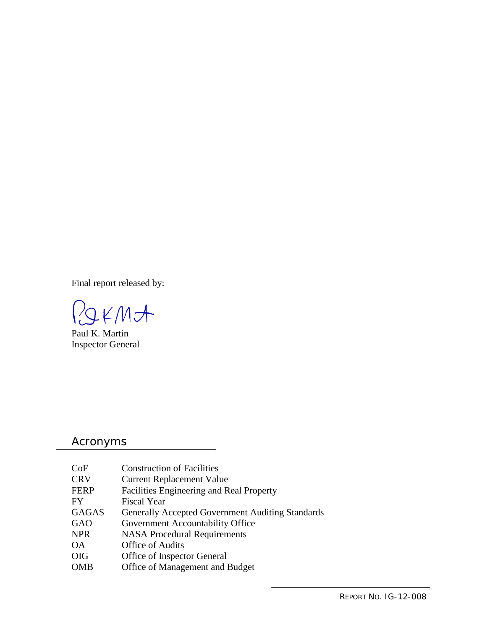Final report released by:

POKMA

Paul K. Martin Inspector General

## Acronyms

| CoF          | <b>Construction of Facilities</b>                       |
|--------------|---------------------------------------------------------|
| <b>CRV</b>   | <b>Current Replacement Value</b>                        |
| <b>FERP</b>  | Facilities Engineering and Real Property                |
| FY           | <b>Fiscal Year</b>                                      |
| <b>GAGAS</b> | <b>Generally Accepted Government Auditing Standards</b> |
| GAO          | Government Accountability Office                        |
| <b>NPR</b>   | <b>NASA Procedural Requirements</b>                     |
| <b>OA</b>    | Office of Audits                                        |
| <b>OIG</b>   | Office of Inspector General                             |
| <b>OMB</b>   | Office of Management and Budget                         |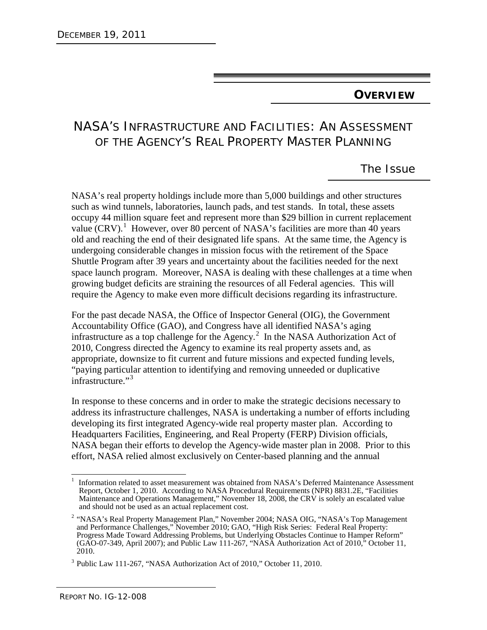## **OVERVIEW**

# NASA'S INFRASTRUCTURE AND FACILITIES: AN ASSESSMENT OF THE AGENCY'S REAL PROPERTY MASTER PLANNING

# The Issue

NASA's real property holdings include more than 5,000 buildings and other structures such as wind tunnels, laboratories, launch pads, and test stands. In total, these assets occupy 44 million square feet and represent more than \$29 billion in current replacement value (CRV).<sup>[1](#page-2-0)</sup> However, over 80 percent of NASA's facilities are more than 40 years old and reaching the end of their designated life spans. At the same time, the Agency is undergoing considerable changes in mission focus with the retirement of the Space Shuttle Program after 39 years and uncertainty about the facilities needed for the next space launch program. Moreover, NASA is dealing with these challenges at a time when growing budget deficits are straining the resources of all Federal agencies. This will require the Agency to make even more difficult decisions regarding its infrastructure.

For the past decade NASA, the Office of Inspector General (OIG), the Government Accountability Office (GAO), and Congress have all identified NASA's aging infrastructure as a top challenge for the Agency. [2](#page-2-1) In the NASA Authorization Act of 2010, Congress directed the Agency to examine its real property assets and, as appropriate, downsize to fit current and future missions and expected funding levels, "paying particular attention to identifying and removing unneeded or duplicative infrastructure."<sup>[3](#page-2-2)</sup>

In response to these concerns and in order to make the strategic decisions necessary to address its infrastructure challenges, NASA is undertaking a number of efforts including developing its first integrated Agency-wide real property master plan. According to Headquarters Facilities, Engineering, and Real Property (FERP) Division officials, NASA began their efforts to develop the Agency-wide master plan in 2008. Prior to this effort, NASA relied almost exclusively on Center-based planning and the annual

<span id="page-2-0"></span> <sup>1</sup> Information related to asset measurement was obtained from NASA's Deferred Maintenance Assessment Report, October 1, 2010. According to NASA Procedural Requirements (NPR) 8831.2E, "Facilities Maintenance and Operations Management," November 18, 2008, the CRV is solely an escalated value and should not be used as an actual replacement cost.

<span id="page-2-1"></span><sup>2</sup> "NASA's Real Property Management Plan," November 2004; NASA OIG, "NASA's Top Management and Performance Challenges," November 2010; GAO, "High Risk Series: Federal Real Property: Progress Made Toward Addressing Problems, but Underlying Obstacles Continue to Hamper Reform" (GAO-07-349, April 2007); and Public Law 111-267, "NASA Authorization Act of 2010," October 11, 2010.

<span id="page-2-2"></span><sup>3</sup> Public Law 111-267, "NASA Authorization Act of 2010," October 11, 2010.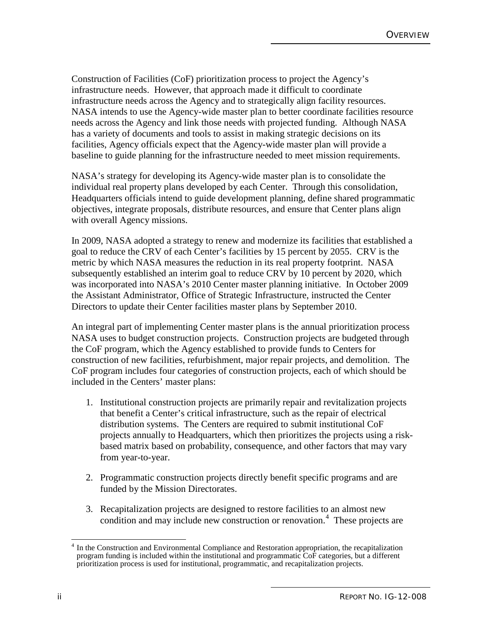Construction of Facilities (CoF) prioritization process to project the Agency's infrastructure needs. However, that approach made it difficult to coordinate infrastructure needs across the Agency and to strategically align facility resources. NASA intends to use the Agency-wide master plan to better coordinate facilities resource needs across the Agency and link those needs with projected funding. Although NASA has a variety of documents and tools to assist in making strategic decisions on its facilities, Agency officials expect that the Agency-wide master plan will provide a baseline to guide planning for the infrastructure needed to meet mission requirements.

NASA's strategy for developing its Agency-wide master plan is to consolidate the individual real property plans developed by each Center. Through this consolidation, Headquarters officials intend to guide development planning, define shared programmatic objectives, integrate proposals, distribute resources, and ensure that Center plans align with overall Agency missions.

In 2009, NASA adopted a strategy to renew and modernize its facilities that established a goal to reduce the CRV of each Center's facilities by 15 percent by 2055. CRV is the metric by which NASA measures the reduction in its real property footprint. NASA subsequently established an interim goal to reduce CRV by 10 percent by 2020, which was incorporated into NASA's 2010 Center master planning initiative. In October 2009 the Assistant Administrator, Office of Strategic Infrastructure, instructed the Center Directors to update their Center facilities master plans by September 2010.

An integral part of implementing Center master plans is the annual prioritization process NASA uses to budget construction projects. Construction projects are budgeted through the CoF program, which the Agency established to provide funds to Centers for construction of new facilities, refurbishment, major repair projects, and demolition. The CoF program includes four categories of construction projects, each of which should be included in the Centers' master plans:

- 1. Institutional construction projects are primarily repair and revitalization projects that benefit a Center's critical infrastructure, such as the repair of electrical distribution systems. The Centers are required to submit institutional CoF projects annually to Headquarters, which then prioritizes the projects using a riskbased matrix based on probability, consequence, and other factors that may vary from year-to-year.
- 2. Programmatic construction projects directly benefit specific programs and are funded by the Mission Directorates.
- 3. Recapitalization projects are designed to restore facilities to an almost new condition and may include new construction or renovation. [4](#page-3-0) These projects are

<span id="page-3-0"></span><sup>&</sup>lt;sup>4</sup> In the Construction and Environmental Compliance and Restoration appropriation, the recapitalization program funding is included within the institutional and programmatic CoF categories, but a different prioritization process is used for institutional, programmatic, and recapitalization projects.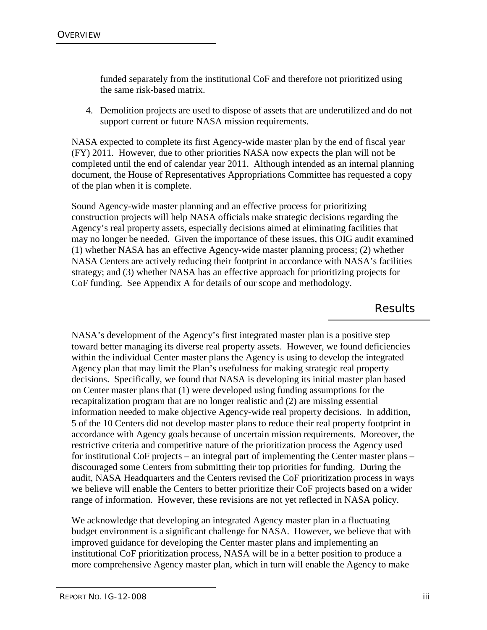funded separately from the institutional CoF and therefore not prioritized using the same risk-based matrix.

4. Demolition projects are used to dispose of assets that are underutilized and do not support current or future NASA mission requirements.

NASA expected to complete its first Agency-wide master plan by the end of fiscal year (FY) 2011. However, due to other priorities NASA now expects the plan will not be completed until the end of calendar year 2011. Although intended as an internal planning document, the House of Representatives Appropriations Committee has requested a copy of the plan when it is complete.

Sound Agency-wide master planning and an effective process for prioritizing construction projects will help NASA officials make strategic decisions regarding the Agency's real property assets, especially decisions aimed at eliminating facilities that may no longer be needed. Given the importance of these issues, this OIG audit examined (1) whether NASA has an effective Agency-wide master planning process; (2) whether NASA Centers are actively reducing their footprint in accordance with NASA's facilities strategy; and (3) whether NASA has an effective approach for prioritizing projects for CoF funding. See Appendix A for details of our scope and methodology.

Results

NASA's development of the Agency's first integrated master plan is a positive step toward better managing its diverse real property assets. However, we found deficiencies within the individual Center master plans the Agency is using to develop the integrated Agency plan that may limit the Plan's usefulness for making strategic real property decisions. Specifically, we found that NASA is developing its initial master plan based on Center master plans that (1) were developed using funding assumptions for the recapitalization program that are no longer realistic and (2) are missing essential information needed to make objective Agency-wide real property decisions. In addition, 5 of the 10 Centers did not develop master plans to reduce their real property footprint in accordance with Agency goals because of uncertain mission requirements. Moreover, the restrictive criteria and competitive nature of the prioritization process the Agency used for institutional CoF projects – an integral part of implementing the Center master plans – discouraged some Centers from submitting their top priorities for funding. During the audit, NASA Headquarters and the Centers revised the CoF prioritization process in ways we believe will enable the Centers to better prioritize their CoF projects based on a wider range of information. However, these revisions are not yet reflected in NASA policy.

We acknowledge that developing an integrated Agency master plan in a fluctuating budget environment is a significant challenge for NASA. However, we believe that with improved guidance for developing the Center master plans and implementing an institutional CoF prioritization process, NASA will be in a better position to produce a more comprehensive Agency master plan, which in turn will enable the Agency to make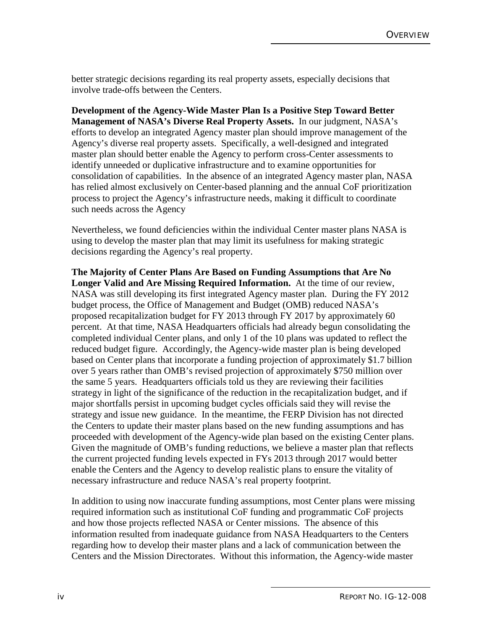better strategic decisions regarding its real property assets, especially decisions that involve trade-offs between the Centers.

**Development of the Agency-Wide Master Plan Is a Positive Step Toward Better Management of NASA's Diverse Real Property Assets.** In our judgment, NASA's efforts to develop an integrated Agency master plan should improve management of the Agency's diverse real property assets. Specifically, a well-designed and integrated master plan should better enable the Agency to perform cross-Center assessments to identify unneeded or duplicative infrastructure and to examine opportunities for consolidation of capabilities. In the absence of an integrated Agency master plan, NASA has relied almost exclusively on Center-based planning and the annual CoF prioritization process to project the Agency's infrastructure needs, making it difficult to coordinate such needs across the Agency

Nevertheless, we found deficiencies within the individual Center master plans NASA is using to develop the master plan that may limit its usefulness for making strategic decisions regarding the Agency's real property.

**The Majority of Center Plans Are Based on Funding Assumptions that Are No Longer Valid and Are Missing Required Information.** At the time of our review, NASA was still developing its first integrated Agency master plan. During the FY 2012 budget process, the Office of Management and Budget (OMB) reduced NASA's proposed recapitalization budget for FY 2013 through FY 2017 by approximately 60 percent. At that time, NASA Headquarters officials had already begun consolidating the completed individual Center plans, and only 1 of the 10 plans was updated to reflect the reduced budget figure. Accordingly, the Agency-wide master plan is being developed based on Center plans that incorporate a funding projection of approximately \$1.7 billion over 5 years rather than OMB's revised projection of approximately \$750 million over the same 5 years. Headquarters officials told us they are reviewing their facilities strategy in light of the significance of the reduction in the recapitalization budget, and if major shortfalls persist in upcoming budget cycles officials said they will revise the strategy and issue new guidance. In the meantime, the FERP Division has not directed the Centers to update their master plans based on the new funding assumptions and has proceeded with development of the Agency-wide plan based on the existing Center plans. Given the magnitude of OMB's funding reductions, we believe a master plan that reflects the current projected funding levels expected in FYs 2013 through 2017 would better enable the Centers and the Agency to develop realistic plans to ensure the vitality of necessary infrastructure and reduce NASA's real property footprint.

In addition to using now inaccurate funding assumptions, most Center plans were missing required information such as institutional CoF funding and programmatic CoF projects and how those projects reflected NASA or Center missions. The absence of this information resulted from inadequate guidance from NASA Headquarters to the Centers regarding how to develop their master plans and a lack of communication between the Centers and the Mission Directorates. Without this information, the Agency-wide master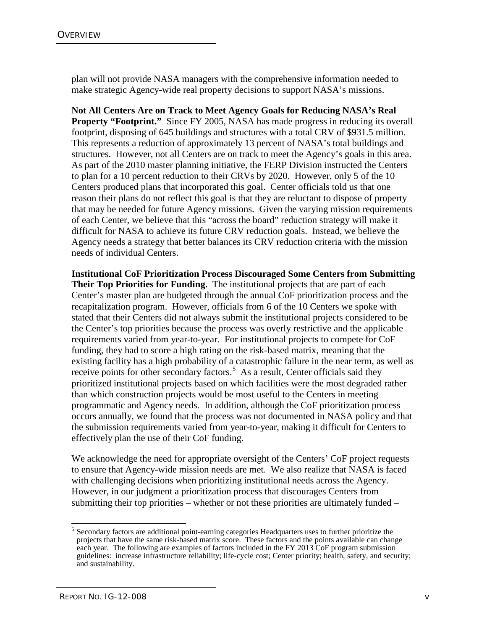plan will not provide NASA managers with the comprehensive information needed to make strategic Agency-wide real property decisions to support NASA's missions.

**Not All Centers Are on Track to Meet Agency Goals for Reducing NASA's Real Property "Footprint."** Since FY 2005, NASA has made progress in reducing its overall footprint, disposing of 645 buildings and structures with a total CRV of \$931.5 million. This represents a reduction of approximately 13 percent of NASA's total buildings and structures. However, not all Centers are on track to meet the Agency's goals in this area. As part of the 2010 master planning initiative, the FERP Division instructed the Centers to plan for a 10 percent reduction to their CRVs by 2020. However, only 5 of the 10 Centers produced plans that incorporated this goal. Center officials told us that one reason their plans do not reflect this goal is that they are reluctant to dispose of property that may be needed for future Agency missions. Given the varying mission requirements of each Center, we believe that this "across the board" reduction strategy will make it difficult for NASA to achieve its future CRV reduction goals. Instead, we believe the Agency needs a strategy that better balances its CRV reduction criteria with the mission needs of individual Centers.

**Institutional CoF Prioritization Process Discouraged Some Centers from Submitting Their Top Priorities for Funding.** The institutional projects that are part of each Center's master plan are budgeted through the annual CoF prioritization process and the recapitalization program. However, officials from 6 of the 10 Centers we spoke with stated that their Centers did not always submit the institutional projects considered to be the Center's top priorities because the process was overly restrictive and the applicable requirements varied from year-to-year. For institutional projects to compete for CoF funding, they had to score a high rating on the risk-based matrix, meaning that the existing facility has a high probability of a catastrophic failure in the near term, as well as receive points for other secondary factors.<sup>[5](#page-6-0)</sup> As a result, Center officials said they prioritized institutional projects based on which facilities were the most degraded rather than which construction projects would be most useful to the Centers in meeting programmatic and Agency needs. In addition, although the CoF prioritization process occurs annually, we found that the process was not documented in NASA policy and that the submission requirements varied from year-to-year, making it difficult for Centers to effectively plan the use of their CoF funding.

We acknowledge the need for appropriate oversight of the Centers' CoF project requests to ensure that Agency-wide mission needs are met. We also realize that NASA is faced with challenging decisions when prioritizing institutional needs across the Agency. However, in our judgment a prioritization process that discourages Centers from submitting their top priorities – whether or not these priorities are ultimately funded –

<span id="page-6-0"></span> <sup>5</sup> Secondary factors are additional point-earning categories Headquarters uses to further prioritize the projects that have the same risk-based matrix score. These factors and the points available can change each year. The following are examples of factors included in the FY 2013 CoF program submission guidelines: increase infrastructure reliability; life-cycle cost; Center priority; health, safety, and security; and sustainability.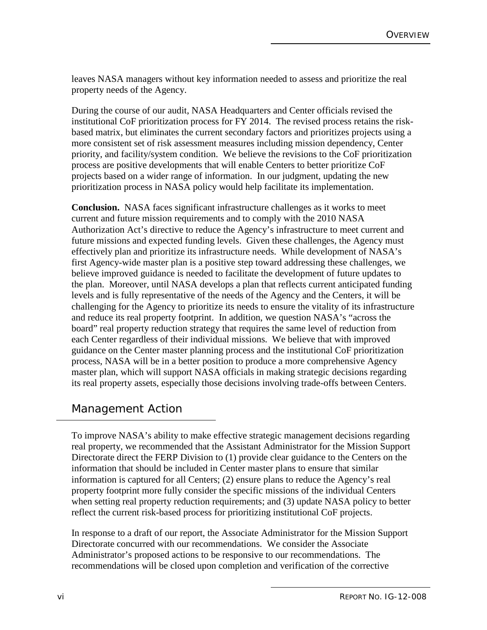leaves NASA managers without key information needed to assess and prioritize the real property needs of the Agency.

During the course of our audit, NASA Headquarters and Center officials revised the institutional CoF prioritization process for FY 2014. The revised process retains the riskbased matrix, but eliminates the current secondary factors and prioritizes projects using a more consistent set of risk assessment measures including mission dependency, Center priority, and facility/system condition. We believe the revisions to the CoF prioritization process are positive developments that will enable Centers to better prioritize CoF projects based on a wider range of information. In our judgment, updating the new prioritization process in NASA policy would help facilitate its implementation.

**Conclusion.** NASA faces significant infrastructure challenges as it works to meet current and future mission requirements and to comply with the 2010 NASA Authorization Act's directive to reduce the Agency's infrastructure to meet current and future missions and expected funding levels. Given these challenges, the Agency must effectively plan and prioritize its infrastructure needs. While development of NASA's first Agency-wide master plan is a positive step toward addressing these challenges, we believe improved guidance is needed to facilitate the development of future updates to the plan. Moreover, until NASA develops a plan that reflects current anticipated funding levels and is fully representative of the needs of the Agency and the Centers, it will be challenging for the Agency to prioritize its needs to ensure the vitality of its infrastructure and reduce its real property footprint. In addition, we question NASA's "across the board" real property reduction strategy that requires the same level of reduction from each Center regardless of their individual missions. We believe that with improved guidance on the Center master planning process and the institutional CoF prioritization process, NASA will be in a better position to produce a more comprehensive Agency master plan, which will support NASA officials in making strategic decisions regarding its real property assets, especially those decisions involving trade-offs between Centers.

# Management Action

To improve NASA's ability to make effective strategic management decisions regarding real property, we recommended that the Assistant Administrator for the Mission Support Directorate direct the FERP Division to (1) provide clear guidance to the Centers on the information that should be included in Center master plans to ensure that similar information is captured for all Centers; (2) ensure plans to reduce the Agency's real property footprint more fully consider the specific missions of the individual Centers when setting real property reduction requirements; and (3) update NASA policy to better reflect the current risk-based process for prioritizing institutional CoF projects.

In response to a draft of our report, the Associate Administrator for the Mission Support Directorate concurred with our recommendations. We consider the Associate Administrator's proposed actions to be responsive to our recommendations. The recommendations will be closed upon completion and verification of the corrective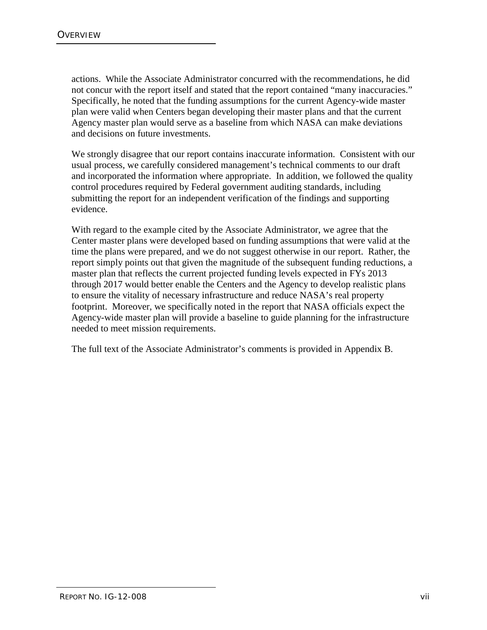actions. While the Associate Administrator concurred with the recommendations, he did not concur with the report itself and stated that the report contained "many inaccuracies." Specifically, he noted that the funding assumptions for the current Agency-wide master plan were valid when Centers began developing their master plans and that the current Agency master plan would serve as a baseline from which NASA can make deviations and decisions on future investments.

We strongly disagree that our report contains inaccurate information. Consistent with our usual process, we carefully considered management's technical comments to our draft and incorporated the information where appropriate. In addition, we followed the quality control procedures required by Federal government auditing standards, including submitting the report for an independent verification of the findings and supporting evidence.

With regard to the example cited by the Associate Administrator, we agree that the Center master plans were developed based on funding assumptions that were valid at the time the plans were prepared, and we do not suggest otherwise in our report. Rather, the report simply points out that given the magnitude of the subsequent funding reductions, a master plan that reflects the current projected funding levels expected in FYs 2013 through 2017 would better enable the Centers and the Agency to develop realistic plans to ensure the vitality of necessary infrastructure and reduce NASA's real property footprint. Moreover, we specifically noted in the report that NASA officials expect the Agency-wide master plan will provide a baseline to guide planning for the infrastructure needed to meet mission requirements.

The full text of the Associate Administrator's comments is provided in Appendix B.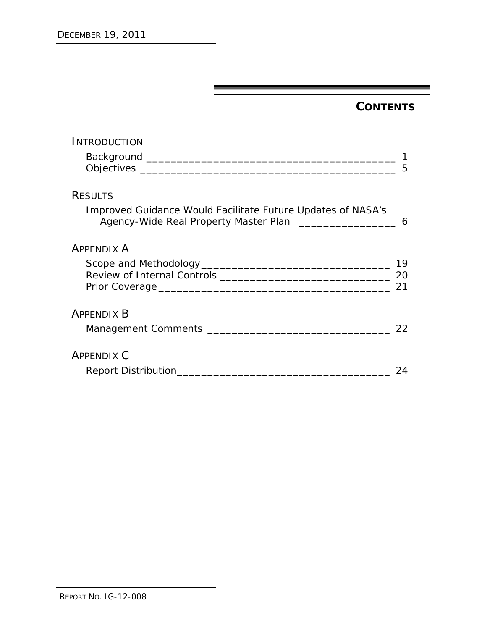# **CONTENTS**

| <b>INTRODUCTION</b>                                                                                                             | 5        |
|---------------------------------------------------------------------------------------------------------------------------------|----------|
| <b>RESULTS</b>                                                                                                                  |          |
| Improved Guidance Would Facilitate Future Updates of NASA's<br>Agency-Wide Real Property Master Plan ________________________ 6 |          |
| <b>APPENDIX A</b>                                                                                                               |          |
|                                                                                                                                 | 19<br>21 |
| <b>APPENDIX B</b>                                                                                                               | 22       |
| <b>APPENDIX C</b>                                                                                                               | 24       |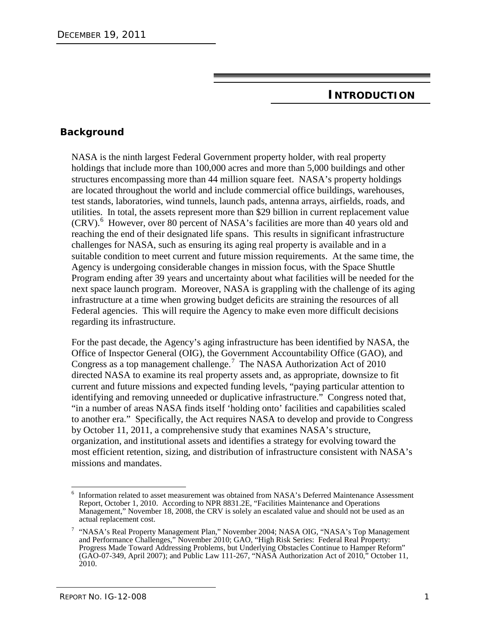#### **INTRODUCTION**

#### **Background**

NASA is the ninth largest Federal Government property holder, with real property holdings that include more than 100,000 acres and more than 5,000 buildings and other structures encompassing more than 44 million square feet. NASA's property holdings are located throughout the world and include commercial office buildings, warehouses, test stands, laboratories, wind tunnels, launch pads, antenna arrays, airfields, roads, and utilities. In total, the assets represent more than \$29 billion in current replacement value (CRV). [6](#page-12-0) However, over 80 percent of NASA's facilities are more than 40 years old and reaching the end of their designated life spans. This results in significant infrastructure challenges for NASA, such as ensuring its aging real property is available and in a suitable condition to meet current and future mission requirements. At the same time, the Agency is undergoing considerable changes in mission focus, with the Space Shuttle Program ending after 39 years and uncertainty about what facilities will be needed for the next space launch program. Moreover, NASA is grappling with the challenge of its aging infrastructure at a time when growing budget deficits are straining the resources of all Federal agencies. This will require the Agency to make even more difficult decisions regarding its infrastructure.

For the past decade, the Agency's aging infrastructure has been identified by NASA, the Office of Inspector General (OIG), the Government Accountability Office (GAO), and Congress as a top management challenge.<sup>[7](#page-12-1)</sup> The NASA Authorization Act of 2010 directed NASA to examine its real property assets and, as appropriate, downsize to fit current and future missions and expected funding levels, "paying particular attention to identifying and removing unneeded or duplicative infrastructure." Congress noted that, "in a number of areas NASA finds itself 'holding onto' facilities and capabilities scaled to another era." Specifically, the Act requires NASA to develop and provide to Congress by October 11, 2011, a comprehensive study that examines NASA's structure, organization, and institutional assets and identifies a strategy for evolving toward the most efficient retention, sizing, and distribution of infrastructure consistent with NASA's missions and mandates.

<span id="page-12-0"></span>Information related to asset measurement was obtained from NASA's Deferred Maintenance Assessment Report, October 1, 2010. According to NPR 8831.2E, "Facilities Maintenance and Operations Management," November 18, 2008, the CRV is solely an escalated value and should not be used as an actual replacement cost.

<span id="page-12-1"></span><sup>&</sup>lt;sup>7</sup> "NASA's Real Property Management Plan," November 2004; NASA OIG, "NASA's Top Management and Performance Challenges," November 2010; GAO, "High Risk Series: Federal Real Property: Progress Made Toward Addressing Problems, but Underlying Obstacles Continue to Hamper Reform" (GAO-07-349, April 2007); and Public Law 111-267, "NASA Authorization Act of 2010," October 11,  $2010.$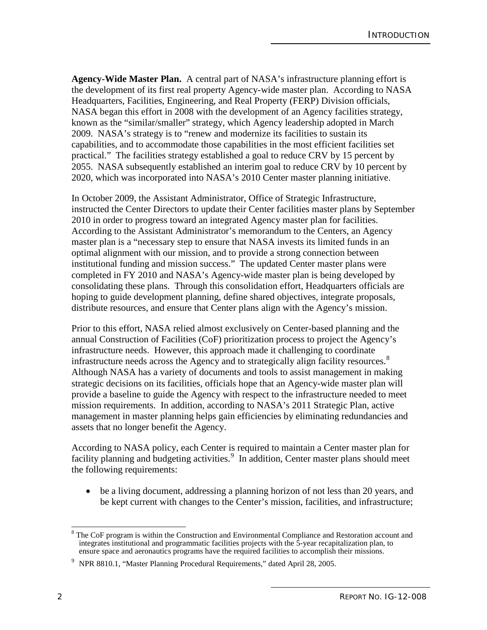**Agency-Wide Master Plan.** A central part of NASA's infrastructure planning effort is the development of its first real property Agency-wide master plan. According to NASA Headquarters, Facilities, Engineering, and Real Property (FERP) Division officials, NASA began this effort in 2008 with the development of an Agency facilities strategy, known as the "similar/smaller" strategy, which Agency leadership adopted in March 2009. NASA's strategy is to "renew and modernize its facilities to sustain its capabilities, and to accommodate those capabilities in the most efficient facilities set practical." The facilities strategy established a goal to reduce CRV by 15 percent by 2055. NASA subsequently established an interim goal to reduce CRV by 10 percent by 2020, which was incorporated into NASA's 2010 Center master planning initiative.

In October 2009, the Assistant Administrator, Office of Strategic Infrastructure, instructed the Center Directors to update their Center facilities master plans by September 2010 in order to progress toward an integrated Agency master plan for facilities. According to the Assistant Administrator's memorandum to the Centers, an Agency master plan is a "necessary step to ensure that NASA invests its limited funds in an optimal alignment with our mission, and to provide a strong connection between institutional funding and mission success." The updated Center master plans were completed in FY 2010 and NASA's Agency-wide master plan is being developed by consolidating these plans. Through this consolidation effort, Headquarters officials are hoping to guide development planning, define shared objectives, integrate proposals, distribute resources, and ensure that Center plans align with the Agency's mission.

Prior to this effort, NASA relied almost exclusively on Center-based planning and the annual Construction of Facilities (CoF) prioritization process to project the Agency's infrastructure needs. However, this approach made it challenging to coordinate infrastructure needs across the Agency and to strategically align facility resources.<sup>[8](#page-13-0)</sup> Although NASA has a variety of documents and tools to assist management in making strategic decisions on its facilities, officials hope that an Agency-wide master plan will provide a baseline to guide the Agency with respect to the infrastructure needed to meet mission requirements. In addition, according to NASA's 2011 Strategic Plan, active management in master planning helps gain efficiencies by eliminating redundancies and assets that no longer benefit the Agency.

According to NASA policy, each Center is required to maintain a Center master plan for facility planning and budgeting activities.<sup>[9](#page-13-1)</sup> In addition, Center master plans should meet the following requirements:

• be a living document, addressing a planning horizon of not less than 20 years, and be kept current with changes to the Center's mission, facilities, and infrastructure;

<span id="page-13-0"></span>The CoF program is within the Construction and Environmental Compliance and Restoration account and integrates institutional and programmatic facilities projects with the 5-year recapitalization plan, to ensure space and aeronautics programs have the required facilities to accomplish their missions.

<span id="page-13-1"></span><sup>9</sup> NPR 8810.1, "Master Planning Procedural Requirements," dated April 28, 2005.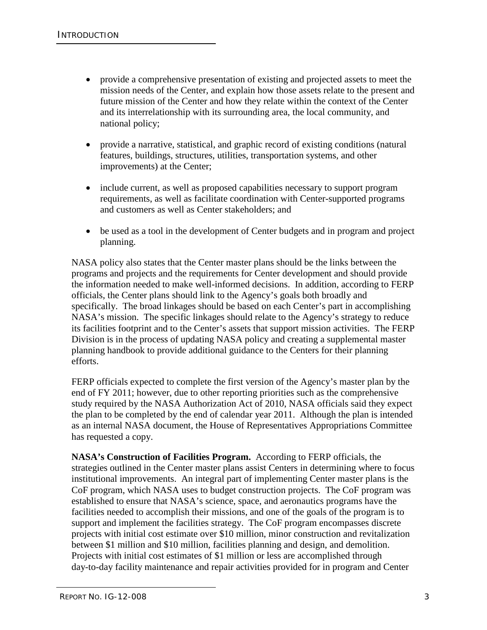- provide a comprehensive presentation of existing and projected assets to meet the mission needs of the Center, and explain how those assets relate to the present and future mission of the Center and how they relate within the context of the Center and its interrelationship with its surrounding area, the local community, and national policy;
- provide a narrative, statistical, and graphic record of existing conditions (natural features, buildings, structures, utilities, transportation systems, and other improvements) at the Center;
- include current, as well as proposed capabilities necessary to support program requirements, as well as facilitate coordination with Center-supported programs and customers as well as Center stakeholders; and
- be used as a tool in the development of Center budgets and in program and project planning.

NASA policy also states that the Center master plans should be the links between the programs and projects and the requirements for Center development and should provide the information needed to make well-informed decisions. In addition, according to FERP officials, the Center plans should link to the Agency's goals both broadly and specifically. The broad linkages should be based on each Center's part in accomplishing NASA's mission. The specific linkages should relate to the Agency's strategy to reduce its facilities footprint and to the Center's assets that support mission activities. The FERP Division is in the process of updating NASA policy and creating a supplemental master planning handbook to provide additional guidance to the Centers for their planning efforts.

FERP officials expected to complete the first version of the Agency's master plan by the end of FY 2011; however, due to other reporting priorities such as the comprehensive study required by the NASA Authorization Act of 2010, NASA officials said they expect the plan to be completed by the end of calendar year 2011. Although the plan is intended as an internal NASA document, the House of Representatives Appropriations Committee has requested a copy.

**NASA's Construction of Facilities Program.** According to FERP officials, the strategies outlined in the Center master plans assist Centers in determining where to focus institutional improvements. An integral part of implementing Center master plans is the CoF program, which NASA uses to budget construction projects. The CoF program was established to ensure that NASA's science, space, and aeronautics programs have the facilities needed to accomplish their missions, and one of the goals of the program is to support and implement the facilities strategy. The CoF program encompasses discrete projects with initial cost estimate over \$10 million, minor construction and revitalization between \$1 million and \$10 million, facilities planning and design, and demolition. Projects with initial cost estimates of \$1 million or less are accomplished through day-to-day facility maintenance and repair activities provided for in program and Center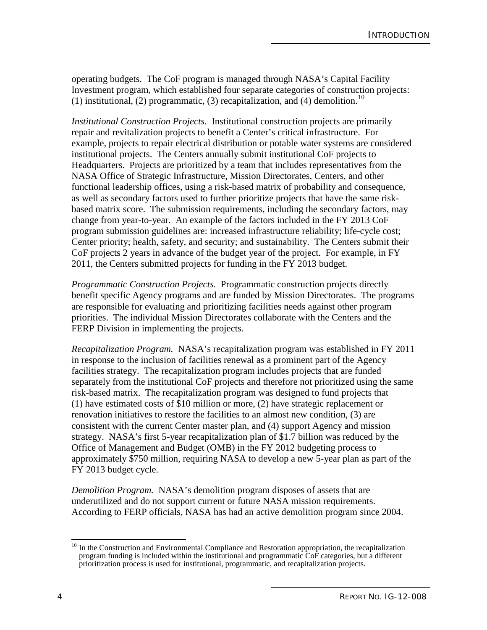operating budgets. The CoF program is managed through NASA's Capital Facility Investment program, which established four separate categories of construction projects: (1) institutional, (2) programmatic, (3) recapitalization, and (4) demolition.<sup>[10](#page-15-0)</sup>

*Institutional Construction Projects.* Institutional construction projects are primarily repair and revitalization projects to benefit a Center's critical infrastructure. For example, projects to repair electrical distribution or potable water systems are considered institutional projects. The Centers annually submit institutional CoF projects to Headquarters. Projects are prioritized by a team that includes representatives from the NASA Office of Strategic Infrastructure, Mission Directorates, Centers, and other functional leadership offices, using a risk-based matrix of probability and consequence, as well as secondary factors used to further prioritize projects that have the same riskbased matrix score. The submission requirements, including the secondary factors, may change from year-to-year. An example of the factors included in the FY 2013 CoF program submission guidelines are: increased infrastructure reliability; life-cycle cost; Center priority; health, safety, and security; and sustainability. The Centers submit their CoF projects 2 years in advance of the budget year of the project. For example, in FY 2011, the Centers submitted projects for funding in the FY 2013 budget.

*Programmatic Construction Projects.* Programmatic construction projects directly benefit specific Agency programs and are funded by Mission Directorates. The programs are responsible for evaluating and prioritizing facilities needs against other program priorities. The individual Mission Directorates collaborate with the Centers and the FERP Division in implementing the projects.

*Recapitalization Program.* NASA's recapitalization program was established in FY 2011 in response to the inclusion of facilities renewal as a prominent part of the Agency facilities strategy. The recapitalization program includes projects that are funded separately from the institutional CoF projects and therefore not prioritized using the same risk-based matrix. The recapitalization program was designed to fund projects that (1) have estimated costs of \$10 million or more, (2) have strategic replacement or renovation initiatives to restore the facilities to an almost new condition, (3) are consistent with the current Center master plan, and (4) support Agency and mission strategy. NASA's first 5-year recapitalization plan of \$1.7 billion was reduced by the Office of Management and Budget (OMB) in the FY 2012 budgeting process to approximately \$750 million, requiring NASA to develop a new 5-year plan as part of the FY 2013 budget cycle.

*Demolition Program.* NASA's demolition program disposes of assets that are underutilized and do not support current or future NASA mission requirements. According to FERP officials, NASA has had an active demolition program since 2004.

<span id="page-15-0"></span><sup>&</sup>lt;sup>10</sup> In the Construction and Environmental Compliance and Restoration appropriation, the recapitalization program funding is included within the institutional and programmatic CoF categories, but a different prioritization process is used for institutional, programmatic, and recapitalization projects.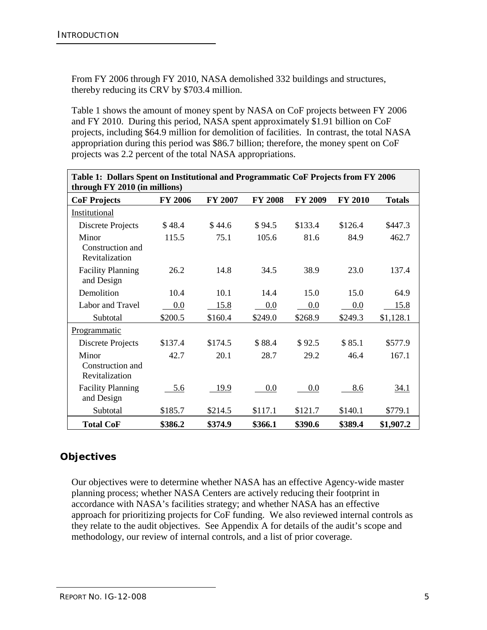From FY 2006 through FY 2010, NASA demolished 332 buildings and structures, thereby reducing its CRV by \$703.4 million.

Table 1 shows the amount of money spent by NASA on CoF projects between FY 2006 and FY 2010. During this period, NASA spent approximately \$1.91 billion on CoF projects, including \$64.9 million for demolition of facilities. In contrast, the total NASA appropriation during this period was \$86.7 billion; therefore, the money spent on CoF projects was 2.2 percent of the total NASA appropriations.

| Table 1: Dollars Spent on Institutional and Programmatic CoF Projects from FY 2006<br>through FY 2010 (in millions) |                |                |                |                |                |               |
|---------------------------------------------------------------------------------------------------------------------|----------------|----------------|----------------|----------------|----------------|---------------|
| <b>CoF Projects</b>                                                                                                 | <b>FY 2006</b> | <b>FY 2007</b> | <b>FY 2008</b> | <b>FY 2009</b> | <b>FY 2010</b> | <b>Totals</b> |
| Institutional                                                                                                       |                |                |                |                |                |               |
| Discrete Projects                                                                                                   | \$48.4         | \$44.6         | \$94.5         | \$133.4        | \$126.4        | \$447.3       |
| Minor<br>Construction and<br>Revitalization                                                                         | 115.5          | 75.1           | 105.6          | 81.6           | 84.9           | 462.7         |
| <b>Facility Planning</b><br>and Design                                                                              | 26.2           | 14.8           | 34.5           | 38.9           | 23.0           | 137.4         |
| Demolition                                                                                                          | 10.4           | 10.1           | 14.4           | 15.0           | 15.0           | 64.9          |
| Labor and Travel                                                                                                    | 0.0            | 15.8           | 0.0            | 0.0            | 0.0            | 15.8          |
| Subtotal                                                                                                            | \$200.5        | \$160.4        | \$249.0        | \$268.9        | \$249.3        | \$1,128.1     |
| Programmatic                                                                                                        |                |                |                |                |                |               |
| Discrete Projects                                                                                                   | \$137.4        | \$174.5        | \$88.4         | \$92.5         | \$85.1         | \$577.9       |
| Minor<br>Construction and<br>Revitalization                                                                         | 42.7           | 20.1           | 28.7           | 29.2           | 46.4           | 167.1         |
| <b>Facility Planning</b><br>and Design                                                                              | 5.6            | 19.9           | 0.0            | 0.0            | 8.6            | <u>34.1</u>   |
| Subtotal                                                                                                            | \$185.7        | \$214.5        | \$117.1        | \$121.7        | \$140.1        | \$779.1       |
| <b>Total CoF</b>                                                                                                    | \$386.2        | \$374.9        | \$366.1        | \$390.6        | \$389.4        | \$1,907.2     |

# **Objectives**

Our objectives were to determine whether NASA has an effective Agency-wide master planning process; whether NASA Centers are actively reducing their footprint in accordance with NASA's facilities strategy; and whether NASA has an effective approach for prioritizing projects for CoF funding. We also reviewed internal controls as they relate to the audit objectives. See Appendix A for details of the audit's scope and methodology, our review of internal controls, and a list of prior coverage.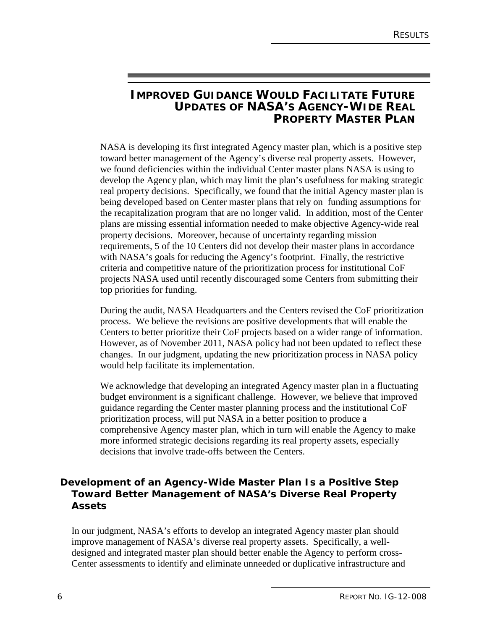# **IMPROVED GUIDANCE WOULD FACILITATE FUTURE UPDATES OF NASA'S AGENCY-WIDE REAL PROPERTY MASTER PLAN**

NASA is developing its first integrated Agency master plan, which is a positive step toward better management of the Agency's diverse real property assets. However, we found deficiencies within the individual Center master plans NASA is using to develop the Agency plan, which may limit the plan's usefulness for making strategic real property decisions. Specifically, we found that the initial Agency master plan is being developed based on Center master plans that rely on funding assumptions for the recapitalization program that are no longer valid. In addition, most of the Center plans are missing essential information needed to make objective Agency-wide real property decisions. Moreover, because of uncertainty regarding mission requirements, 5 of the 10 Centers did not develop their master plans in accordance with NASA's goals for reducing the Agency's footprint. Finally, the restrictive criteria and competitive nature of the prioritization process for institutional CoF projects NASA used until recently discouraged some Centers from submitting their top priorities for funding.

During the audit, NASA Headquarters and the Centers revised the CoF prioritization process. We believe the revisions are positive developments that will enable the Centers to better prioritize their CoF projects based on a wider range of information. However, as of November 2011, NASA policy had not been updated to reflect these changes. In our judgment, updating the new prioritization process in NASA policy would help facilitate its implementation.

We acknowledge that developing an integrated Agency master plan in a fluctuating budget environment is a significant challenge. However, we believe that improved guidance regarding the Center master planning process and the institutional CoF prioritization process, will put NASA in a better position to produce a comprehensive Agency master plan, which in turn will enable the Agency to make more informed strategic decisions regarding its real property assets, especially decisions that involve trade-offs between the Centers.

#### **Development of an Agency-Wide Master Plan Is a Positive Step Toward Better Management of NASA's Diverse Real Property Assets**

In our judgment, NASA's efforts to develop an integrated Agency master plan should improve management of NASA's diverse real property assets. Specifically, a welldesigned and integrated master plan should better enable the Agency to perform cross-Center assessments to identify and eliminate unneeded or duplicative infrastructure and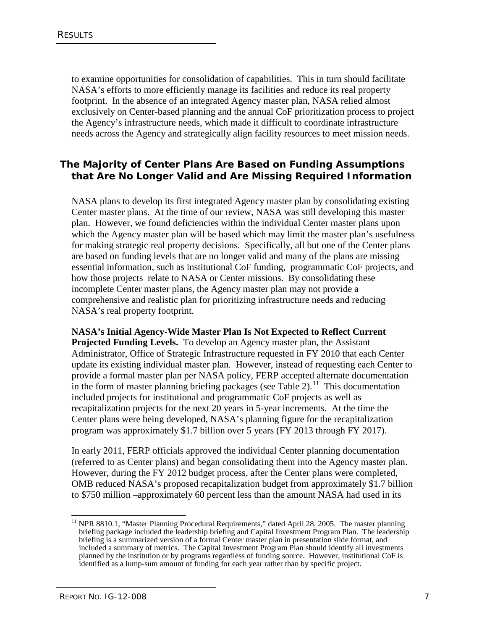to examine opportunities for consolidation of capabilities. This in turn should facilitate NASA's efforts to more efficiently manage its facilities and reduce its real property footprint. In the absence of an integrated Agency master plan, NASA relied almost exclusively on Center-based planning and the annual CoF prioritization process to project the Agency's infrastructure needs, which made it difficult to coordinate infrastructure needs across the Agency and strategically align facility resources to meet mission needs.

## **The Majority of Center Plans Are Based on Funding Assumptions that Are No Longer Valid and Are Missing Required Information**

NASA plans to develop its first integrated Agency master plan by consolidating existing Center master plans. At the time of our review, NASA was still developing this master plan. However, we found deficiencies within the individual Center master plans upon which the Agency master plan will be based which may limit the master plan's usefulness for making strategic real property decisions. Specifically, all but one of the Center plans are based on funding levels that are no longer valid and many of the plans are missing essential information, such as institutional CoF funding, programmatic CoF projects, and how those projects relate to NASA or Center missions. By consolidating these incomplete Center master plans, the Agency master plan may not provide a comprehensive and realistic plan for prioritizing infrastructure needs and reducing NASA's real property footprint.

**NASA's Initial Agency-Wide Master Plan Is Not Expected to Reflect Current Projected Funding Levels.** To develop an Agency master plan, the Assistant Administrator, Office of Strategic Infrastructure requested in FY 2010 that each Center update its existing individual master plan. However, instead of requesting each Center to provide a formal master plan per NASA policy, FERP accepted alternate documentation in the form of master planning briefing packages (see Table 2).<sup>[11](#page-18-0)</sup> This documentation included projects for institutional and programmatic CoF projects as well as recapitalization projects for the next 20 years in 5-year increments. At the time the Center plans were being developed, NASA's planning figure for the recapitalization program was approximately \$1.7 billion over 5 years (FY 2013 through FY 2017).

In early 2011, FERP officials approved the individual Center planning documentation (referred to as Center plans) and began consolidating them into the Agency master plan. However, during the FY 2012 budget process, after the Center plans were completed, OMB reduced NASA's proposed recapitalization budget from approximately \$1.7 billion to \$750 million –approximately 60 percent less than the amount NASA had used in its

<span id="page-18-0"></span><sup>&</sup>lt;sup>11</sup> NPR 8810.1, "Master Planning Procedural Requirements," dated April 28, 2005. The master planning briefing package included the leadership briefing and Capital Investment Program Plan. The leadership briefing is a summarized version of a formal Center master plan in presentation slide format, and included a summary of metrics. The Capital Investment Program Plan should identify all investments planned by the institution or by programs regardless of funding source. However, institutional CoF is identified as a lump-sum amount of funding for each year rather than by specific project.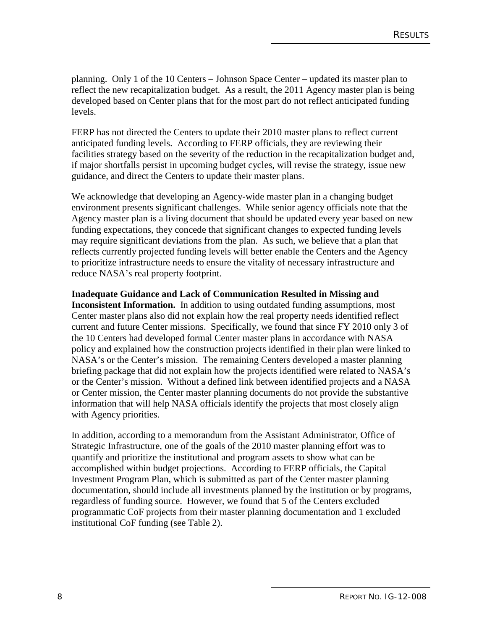planning. Only 1 of the 10 Centers – Johnson Space Center – updated its master plan to reflect the new recapitalization budget. As a result, the 2011 Agency master plan is being developed based on Center plans that for the most part do not reflect anticipated funding levels.

FERP has not directed the Centers to update their 2010 master plans to reflect current anticipated funding levels. According to FERP officials, they are reviewing their facilities strategy based on the severity of the reduction in the recapitalization budget and, if major shortfalls persist in upcoming budget cycles, will revise the strategy, issue new guidance, and direct the Centers to update their master plans.

We acknowledge that developing an Agency-wide master plan in a changing budget environment presents significant challenges. While senior agency officials note that the Agency master plan is a living document that should be updated every year based on new funding expectations, they concede that significant changes to expected funding levels may require significant deviations from the plan. As such, we believe that a plan that reflects currently projected funding levels will better enable the Centers and the Agency to prioritize infrastructure needs to ensure the vitality of necessary infrastructure and reduce NASA's real property footprint.

**Inadequate Guidance and Lack of Communication Resulted in Missing and Inconsistent Information.** In addition to using outdated funding assumptions, most Center master plans also did not explain how the real property needs identified reflect current and future Center missions. Specifically, we found that since FY 2010 only 3 of the 10 Centers had developed formal Center master plans in accordance with NASA policy and explained how the construction projects identified in their plan were linked to NASA's or the Center's mission. The remaining Centers developed a master planning briefing package that did not explain how the projects identified were related to NASA's or the Center's mission. Without a defined link between identified projects and a NASA or Center mission, the Center master planning documents do not provide the substantive information that will help NASA officials identify the projects that most closely align with Agency priorities.

In addition, according to a memorandum from the Assistant Administrator, Office of Strategic Infrastructure, one of the goals of the 2010 master planning effort was to quantify and prioritize the institutional and program assets to show what can be accomplished within budget projections. According to FERP officials, the Capital Investment Program Plan, which is submitted as part of the Center master planning documentation, should include all investments planned by the institution or by programs, regardless of funding source. However, we found that 5 of the Centers excluded programmatic CoF projects from their master planning documentation and 1 excluded institutional CoF funding (see Table 2).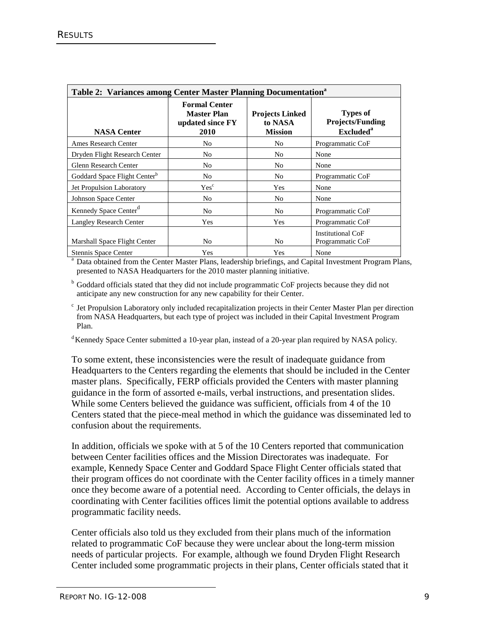| Table 2: Variances among Center Master Planning Documentation <sup>a</sup> |                                                                        |                                                     |                                                                            |  |
|----------------------------------------------------------------------------|------------------------------------------------------------------------|-----------------------------------------------------|----------------------------------------------------------------------------|--|
| <b>NASA Center</b>                                                         | <b>Formal Center</b><br><b>Master Plan</b><br>updated since FY<br>2010 | <b>Projects Linked</b><br>to NASA<br><b>Mission</b> | <b>Types of</b><br><b>Projects/Funding</b><br><b>Excluded</b> <sup>a</sup> |  |
| <b>Ames Research Center</b>                                                | No                                                                     | No.                                                 | Programmatic CoF                                                           |  |
| Dryden Flight Research Center                                              | No.                                                                    | No                                                  | None                                                                       |  |
| Glenn Research Center                                                      | No                                                                     | No                                                  | None                                                                       |  |
| Goddard Space Flight Center <sup>b</sup>                                   | No                                                                     | No.                                                 | Programmatic CoF                                                           |  |
| <b>Jet Propulsion Laboratory</b>                                           | Yes <sup>c</sup>                                                       | Yes                                                 | None                                                                       |  |
| Johnson Space Center                                                       | No                                                                     | No                                                  | None                                                                       |  |
| Kennedy Space Center <sup>d</sup>                                          | No.                                                                    | N <sub>0</sub>                                      | Programmatic CoF                                                           |  |
| <b>Langley Research Center</b>                                             | Yes                                                                    | Yes                                                 | Programmatic CoF                                                           |  |
| Marshall Space Flight Center                                               | No.                                                                    | No                                                  | Institutional CoF<br>Programmatic CoF                                      |  |
| Stennis Space Center                                                       | Yes                                                                    | Yes                                                 | None                                                                       |  |

<sup>a</sup> Data obtained from the Center Master Plans, leadership briefings, and Capital Investment Program Plans, presented to NASA Headquarters for the 2010 master planning initiative.

<sup>b</sup> Goddard officials stated that they did not include programmatic CoF projects because they did not anticipate any new construction for any new capability for their Center.

 $\epsilon$  Jet Propulsion Laboratory only included recapitalization projects in their Center Master Plan per direction from NASA Headquarters, but each type of project was included in their Capital Investment Program Plan.

<sup>d</sup> Kennedy Space Center submitted a 10-year plan, instead of a 20-year plan required by NASA policy.

To some extent, these inconsistencies were the result of inadequate guidance from Headquarters to the Centers regarding the elements that should be included in the Center master plans. Specifically, FERP officials provided the Centers with master planning guidance in the form of assorted e-mails, verbal instructions, and presentation slides. While some Centers believed the guidance was sufficient, officials from 4 of the 10 Centers stated that the piece-meal method in which the guidance was disseminated led to confusion about the requirements.

In addition, officials we spoke with at 5 of the 10 Centers reported that communication between Center facilities offices and the Mission Directorates was inadequate. For example, Kennedy Space Center and Goddard Space Flight Center officials stated that their program offices do not coordinate with the Center facility offices in a timely manner once they become aware of a potential need. According to Center officials, the delays in coordinating with Center facilities offices limit the potential options available to address programmatic facility needs.

Center officials also told us they excluded from their plans much of the information related to programmatic CoF because they were unclear about the long-term mission needs of particular projects. For example, although we found Dryden Flight Research Center included some programmatic projects in their plans, Center officials stated that it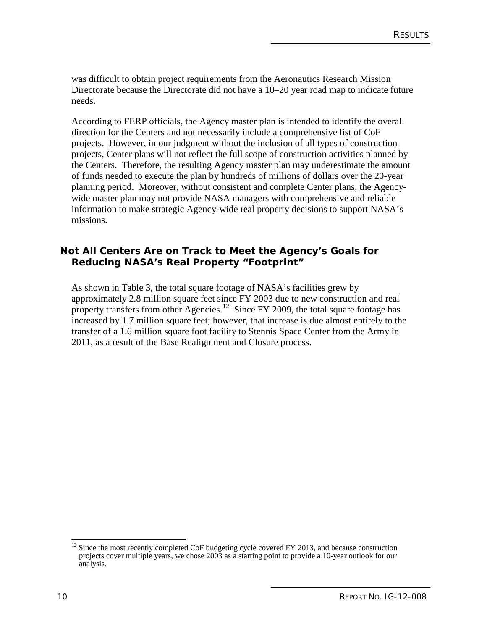was difficult to obtain project requirements from the Aeronautics Research Mission Directorate because the Directorate did not have a 10–20 year road map to indicate future needs.

According to FERP officials, the Agency master plan is intended to identify the overall direction for the Centers and not necessarily include a comprehensive list of CoF projects. However, in our judgment without the inclusion of all types of construction projects, Center plans will not reflect the full scope of construction activities planned by the Centers. Therefore, the resulting Agency master plan may underestimate the amount of funds needed to execute the plan by hundreds of millions of dollars over the 20-year planning period. Moreover, without consistent and complete Center plans, the Agencywide master plan may not provide NASA managers with comprehensive and reliable information to make strategic Agency-wide real property decisions to support NASA's missions.

#### **Not All Centers Are on Track to Meet the Agency's Goals for Reducing NASA's Real Property "Footprint"**

As shown in Table 3, the total square footage of NASA's facilities grew by approximately 2.8 million square feet since FY 2003 due to new construction and real property transfers from other Agencies.<sup>[12](#page-21-0)</sup> Since FY 2009, the total square footage has increased by 1.7 million square feet; however, that increase is due almost entirely to the transfer of a 1.6 million square foot facility to Stennis Space Center from the Army in 2011, as a result of the Base Realignment and Closure process.

<span id="page-21-0"></span><sup>&</sup>lt;sup>12</sup> Since the most recently completed CoF budgeting cycle covered FY 2013, and because construction projects cover multiple years, we chose 2003 as a starting point to provide a 10-year outlook for our analysis.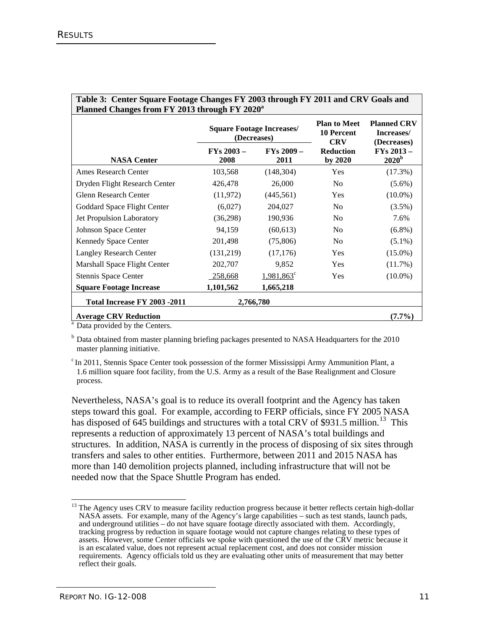| Planned Changes from FY 2013 through FY 2020 <sup>a</sup> |                              |                                                 |                                                        |                                                 |
|-----------------------------------------------------------|------------------------------|-------------------------------------------------|--------------------------------------------------------|-------------------------------------------------|
|                                                           |                              | <b>Square Footage Increases/</b><br>(Decreases) | <b>Plan to Meet</b><br><b>10 Percent</b><br><b>CRV</b> | <b>Planned CRV</b><br>Increases/<br>(Decreases) |
| <b>NASA Center</b>                                        | $\text{FYs } 2003 -$<br>2008 | $FYs 2009 -$<br>2011                            | <b>Reduction</b><br>by 2020                            | $FYs 2013 -$<br>2020 <sup>b</sup>               |
| <b>Ames Research Center</b>                               | 103,568                      | (148, 304)                                      | Yes                                                    | (17.3%)                                         |
| Dryden Flight Research Center                             | 426,478                      | 26,000                                          | N <sub>0</sub>                                         | $(5.6\%)$                                       |
| Glenn Research Center                                     | (11, 972)                    | (445, 561)                                      | <b>Yes</b>                                             | $(10.0\%)$                                      |
| Goddard Space Flight Center                               | (6,027)                      | 204,027                                         | N <sub>0</sub>                                         | $(3.5\%)$                                       |
| Jet Propulsion Laboratory                                 | (36,298)                     | 190,936                                         | N <sub>0</sub>                                         | 7.6%                                            |
| Johnson Space Center                                      | 94,159                       | (60, 613)                                       | N <sub>0</sub>                                         | $(6.8\%)$                                       |
| Kennedy Space Center                                      | 201,498                      | (75,806)                                        | N <sub>0</sub>                                         | $(5.1\%)$                                       |
| <b>Langley Research Center</b>                            | (131,219)                    | (17, 176)                                       | <b>Yes</b>                                             | $(15.0\%)$                                      |
| Marshall Space Flight Center                              | 202,707                      | 9,852                                           | <b>Yes</b>                                             | $(11.7\%)$                                      |
| Stennis Space Center                                      | 258,668                      | $1,981,863$ <sup>c</sup>                        | Yes                                                    | $(10.0\%)$                                      |
| <b>Square Footage Increase</b>                            | 1,101,562                    | 1,665,218                                       |                                                        |                                                 |
| Total Increase FY 2003 -2011<br>2,766,780                 |                              |                                                 |                                                        |                                                 |
| <b>Average CRV Reduction</b>                              |                              |                                                 |                                                        | $(7.7\%)$                                       |

# **Table 3: Center Square Footage Changes FY 2003 through FY 2011 and CRV Goals and**

<sup>a</sup> Data provided by the Centers.

 $b$  Data obtained from master planning briefing packages presented to NASA Headquarters for the 2010 master planning initiative.

<sup>c</sup> In 2011, Stennis Space Center took possession of the former Mississippi Army Ammunition Plant, a 1.6 million square foot facility, from the U.S. Army as a result of the Base Realignment and Closure process.

Nevertheless, NASA's goal is to reduce its overall footprint and the Agency has taken steps toward this goal. For example, according to FERP officials, since FY 2005 NASA has disposed of 645 buildings and structures with a total CRV of \$931.5 million.<sup>[13](#page-22-0)</sup> This represents a reduction of approximately 13 percent of NASA's total buildings and structures. In addition, NASA is currently in the process of disposing of six sites through transfers and sales to other entities. Furthermore, between 2011 and 2015 NASA has more than 140 demolition projects planned, including infrastructure that will not be needed now that the Space Shuttle Program has ended.

<span id="page-22-0"></span><sup>&</sup>lt;sup>13</sup> The Agency uses CRV to measure facility reduction progress because it better reflects certain high-dollar NASA assets. For example, many of the Agency's large capabilities – such as test stands, launch pads, and underground utilities – do not have square footage directly associated with them. Accordingly, tracking progress by reduction in square footage would not capture changes relating to these types of assets. However, some Center officials we spoke with questioned the use of the CRV metric because it is an escalated value, does not represent actual replacement cost, and does not consider mission requirements. Agency officials told us they are evaluating other units of measurement that may better reflect their goals.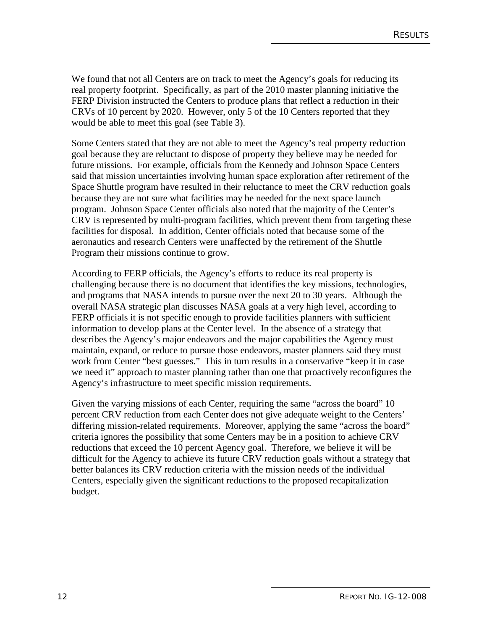We found that not all Centers are on track to meet the Agency's goals for reducing its real property footprint. Specifically, as part of the 2010 master planning initiative the FERP Division instructed the Centers to produce plans that reflect a reduction in their CRVs of 10 percent by 2020. However, only 5 of the 10 Centers reported that they would be able to meet this goal (see Table 3).

Some Centers stated that they are not able to meet the Agency's real property reduction goal because they are reluctant to dispose of property they believe may be needed for future missions. For example, officials from the Kennedy and Johnson Space Centers said that mission uncertainties involving human space exploration after retirement of the Space Shuttle program have resulted in their reluctance to meet the CRV reduction goals because they are not sure what facilities may be needed for the next space launch program. Johnson Space Center officials also noted that the majority of the Center's CRV is represented by multi-program facilities, which prevent them from targeting these facilities for disposal. In addition, Center officials noted that because some of the aeronautics and research Centers were unaffected by the retirement of the Shuttle Program their missions continue to grow.

According to FERP officials, the Agency's efforts to reduce its real property is challenging because there is no document that identifies the key missions, technologies, and programs that NASA intends to pursue over the next 20 to 30 years. Although the overall NASA strategic plan discusses NASA goals at a very high level, according to FERP officials it is not specific enough to provide facilities planners with sufficient information to develop plans at the Center level. In the absence of a strategy that describes the Agency's major endeavors and the major capabilities the Agency must maintain, expand, or reduce to pursue those endeavors, master planners said they must work from Center "best guesses." This in turn results in a conservative "keep it in case we need it" approach to master planning rather than one that proactively reconfigures the Agency's infrastructure to meet specific mission requirements.

Given the varying missions of each Center, requiring the same "across the board" 10 percent CRV reduction from each Center does not give adequate weight to the Centers' differing mission-related requirements. Moreover, applying the same "across the board" criteria ignores the possibility that some Centers may be in a position to achieve CRV reductions that exceed the 10 percent Agency goal. Therefore, we believe it will be difficult for the Agency to achieve its future CRV reduction goals without a strategy that better balances its CRV reduction criteria with the mission needs of the individual Centers, especially given the significant reductions to the proposed recapitalization budget.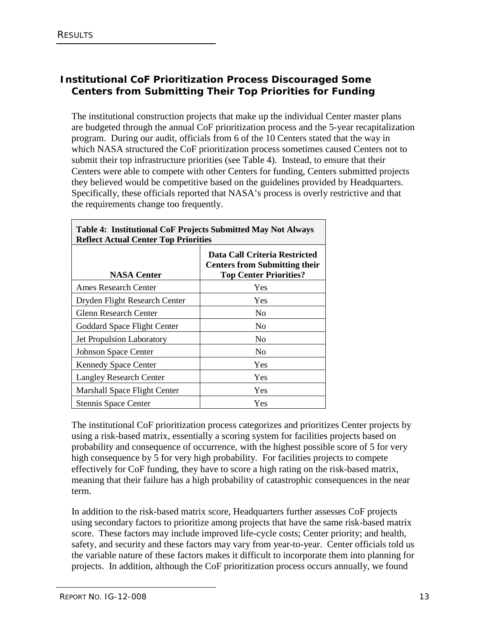# **Institutional CoF Prioritization Process Discouraged Some Centers from Submitting Their Top Priorities for Funding**

The institutional construction projects that make up the individual Center master plans are budgeted through the annual CoF prioritization process and the 5-year recapitalization program. During our audit, officials from 6 of the 10 Centers stated that the way in which NASA structured the CoF prioritization process sometimes caused Centers not to submit their top infrastructure priorities (see Table 4). Instead, to ensure that their Centers were able to compete with other Centers for funding, Centers submitted projects they believed would be competitive based on the guidelines provided by Headquarters. Specifically, these officials reported that NASA's process is overly restrictive and that the requirements change too frequently.

┑

| <b>Table 4: Institutional CoF Projects Submitted May Not Always</b> |                                                                                                        |  |  |
|---------------------------------------------------------------------|--------------------------------------------------------------------------------------------------------|--|--|
| <b>Reflect Actual Center Top Priorities</b>                         |                                                                                                        |  |  |
| <b>NASA Center</b>                                                  | Data Call Criteria Restricted<br><b>Centers from Submitting their</b><br><b>Top Center Priorities?</b> |  |  |
| Ames Research Center                                                | Yes                                                                                                    |  |  |
| Dryden Flight Research Center                                       | Yes                                                                                                    |  |  |
| Glenn Research Center                                               | N <sub>0</sub>                                                                                         |  |  |
| Goddard Space Flight Center                                         | No                                                                                                     |  |  |
| <b>Jet Propulsion Laboratory</b>                                    | N <sub>0</sub>                                                                                         |  |  |
| <b>Johnson Space Center</b>                                         | N <sub>0</sub>                                                                                         |  |  |
| <b>Kennedy Space Center</b>                                         | Yes                                                                                                    |  |  |
| <b>Langley Research Center</b>                                      | Yes                                                                                                    |  |  |
| Marshall Space Flight Center                                        | Yes                                                                                                    |  |  |
| <b>Stennis Space Center</b>                                         | Yes                                                                                                    |  |  |

The institutional CoF prioritization process categorizes and prioritizes Center projects by using a risk-based matrix, essentially a scoring system for facilities projects based on probability and consequence of occurrence, with the highest possible score of 5 for very high consequence by 5 for very high probability. For facilities projects to compete effectively for CoF funding, they have to score a high rating on the risk-based matrix, meaning that their failure has a high probability of catastrophic consequences in the near term.

In addition to the risk-based matrix score, Headquarters further assesses CoF projects using secondary factors to prioritize among projects that have the same risk-based matrix score. These factors may include improved life-cycle costs; Center priority; and health, safety, and security and these factors may vary from year-to-year. Center officials told us the variable nature of these factors makes it difficult to incorporate them into planning for projects. In addition, although the CoF prioritization process occurs annually, we found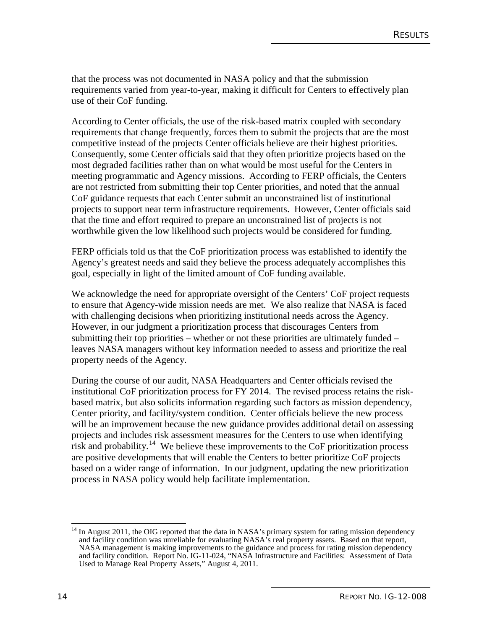that the process was not documented in NASA policy and that the submission requirements varied from year-to-year, making it difficult for Centers to effectively plan use of their CoF funding.

According to Center officials, the use of the risk-based matrix coupled with secondary requirements that change frequently, forces them to submit the projects that are the most competitive instead of the projects Center officials believe are their highest priorities. Consequently, some Center officials said that they often prioritize projects based on the most degraded facilities rather than on what would be most useful for the Centers in meeting programmatic and Agency missions. According to FERP officials, the Centers are not restricted from submitting their top Center priorities, and noted that the annual CoF guidance requests that each Center submit an unconstrained list of institutional projects to support near term infrastructure requirements. However, Center officials said that the time and effort required to prepare an unconstrained list of projects is not worthwhile given the low likelihood such projects would be considered for funding.

FERP officials told us that the CoF prioritization process was established to identify the Agency's greatest needs and said they believe the process adequately accomplishes this goal, especially in light of the limited amount of CoF funding available.

We acknowledge the need for appropriate oversight of the Centers' CoF project requests to ensure that Agency-wide mission needs are met. We also realize that NASA is faced with challenging decisions when prioritizing institutional needs across the Agency. However, in our judgment a prioritization process that discourages Centers from submitting their top priorities – whether or not these priorities are ultimately funded – leaves NASA managers without key information needed to assess and prioritize the real property needs of the Agency.

During the course of our audit, NASA Headquarters and Center officials revised the institutional CoF prioritization process for FY 2014. The revised process retains the riskbased matrix, but also solicits information regarding such factors as mission dependency, Center priority, and facility/system condition. Center officials believe the new process will be an improvement because the new guidance provides additional detail on assessing projects and includes risk assessment measures for the Centers to use when identifying  $\overline{\text{risk}}$  and probability.<sup>[14](#page-25-0)</sup> We believe these improvements to the CoF prioritization process are positive developments that will enable the Centers to better prioritize CoF projects based on a wider range of information. In our judgment, updating the new prioritization process in NASA policy would help facilitate implementation.

<span id="page-25-0"></span><sup>&</sup>lt;sup>14</sup> In August 2011, the OIG reported that the data in NASA's primary system for rating mission dependency and facility condition was unreliable for evaluating NASA's real property assets. Based on that report, NASA management is making improvements to the guidance and process for rating mission dependency and facility condition. Report No. IG-11-024, "NASA Infrastructure and Facilities: Assessment of Data Used to Manage Real Property Assets," August 4, 2011.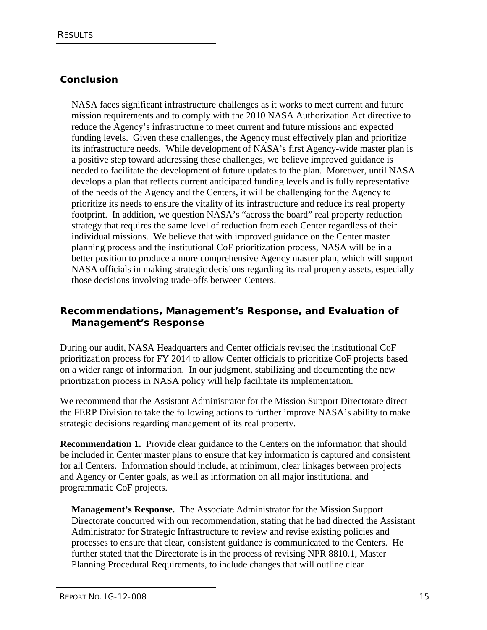# **Conclusion**

NASA faces significant infrastructure challenges as it works to meet current and future mission requirements and to comply with the 2010 NASA Authorization Act directive to reduce the Agency's infrastructure to meet current and future missions and expected funding levels. Given these challenges, the Agency must effectively plan and prioritize its infrastructure needs. While development of NASA's first Agency-wide master plan is a positive step toward addressing these challenges, we believe improved guidance is needed to facilitate the development of future updates to the plan. Moreover, until NASA develops a plan that reflects current anticipated funding levels and is fully representative of the needs of the Agency and the Centers, it will be challenging for the Agency to prioritize its needs to ensure the vitality of its infrastructure and reduce its real property footprint. In addition, we question NASA's "across the board" real property reduction strategy that requires the same level of reduction from each Center regardless of their individual missions. We believe that with improved guidance on the Center master planning process and the institutional CoF prioritization process, NASA will be in a better position to produce a more comprehensive Agency master plan, which will support NASA officials in making strategic decisions regarding its real property assets, especially those decisions involving trade-offs between Centers.

## **Recommendations, Management's Response, and Evaluation of Management's Response**

During our audit, NASA Headquarters and Center officials revised the institutional CoF prioritization process for FY 2014 to allow Center officials to prioritize CoF projects based on a wider range of information. In our judgment, stabilizing and documenting the new prioritization process in NASA policy will help facilitate its implementation.

We recommend that the Assistant Administrator for the Mission Support Directorate direct the FERP Division to take the following actions to further improve NASA's ability to make strategic decisions regarding management of its real property.

**Recommendation 1.** Provide clear guidance to the Centers on the information that should be included in Center master plans to ensure that key information is captured and consistent for all Centers. Information should include, at minimum, clear linkages between projects and Agency or Center goals, as well as information on all major institutional and programmatic CoF projects.

**Management's Response.** The Associate Administrator for the Mission Support Directorate concurred with our recommendation, stating that he had directed the Assistant Administrator for Strategic Infrastructure to review and revise existing policies and processes to ensure that clear, consistent guidance is communicated to the Centers. He further stated that the Directorate is in the process of revising NPR 8810.1, Master Planning Procedural Requirements, to include changes that will outline clear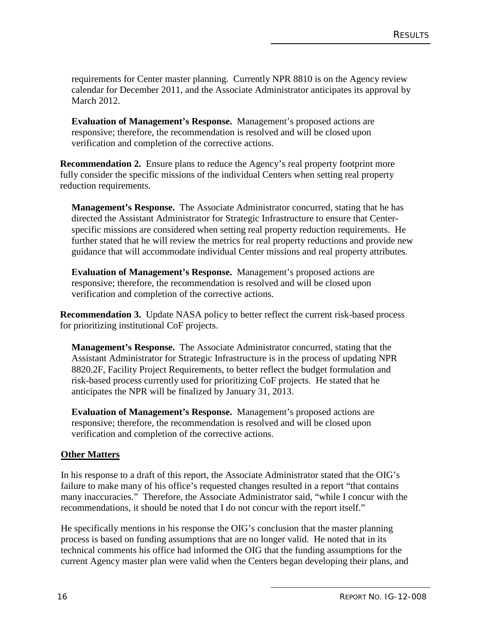requirements for Center master planning. Currently NPR 8810 is on the Agency review calendar for December 2011, and the Associate Administrator anticipates its approval by March 2012.

**Evaluation of Management's Response.** Management's proposed actions are responsive; therefore, the recommendation is resolved and will be closed upon verification and completion of the corrective actions.

**Recommendation 2.** Ensure plans to reduce the Agency's real property footprint more fully consider the specific missions of the individual Centers when setting real property reduction requirements.

**Management's Response.** The Associate Administrator concurred, stating that he has directed the Assistant Administrator for Strategic Infrastructure to ensure that Centerspecific missions are considered when setting real property reduction requirements. He further stated that he will review the metrics for real property reductions and provide new guidance that will accommodate individual Center missions and real property attributes.

**Evaluation of Management's Response.** Management's proposed actions are responsive; therefore, the recommendation is resolved and will be closed upon verification and completion of the corrective actions.

**Recommendation 3.** Update NASA policy to better reflect the current risk-based process for prioritizing institutional CoF projects.

**Management's Response.** The Associate Administrator concurred, stating that the Assistant Administrator for Strategic Infrastructure is in the process of updating NPR 8820.2F, Facility Project Requirements, to better reflect the budget formulation and risk-based process currently used for prioritizing CoF projects. He stated that he anticipates the NPR will be finalized by January 31, 2013.

**Evaluation of Management's Response.** Management's proposed actions are responsive; therefore, the recommendation is resolved and will be closed upon verification and completion of the corrective actions.

#### **Other Matters**

In his response to a draft of this report, the Associate Administrator stated that the OIG's failure to make many of his office's requested changes resulted in a report "that contains many inaccuracies." Therefore, the Associate Administrator said, "while I concur with the recommendations, it should be noted that I do not concur with the report itself."

He specifically mentions in his response the OIG's conclusion that the master planning process is based on funding assumptions that are no longer valid. He noted that in its technical comments his office had informed the OIG that the funding assumptions for the current Agency master plan were valid when the Centers began developing their plans, and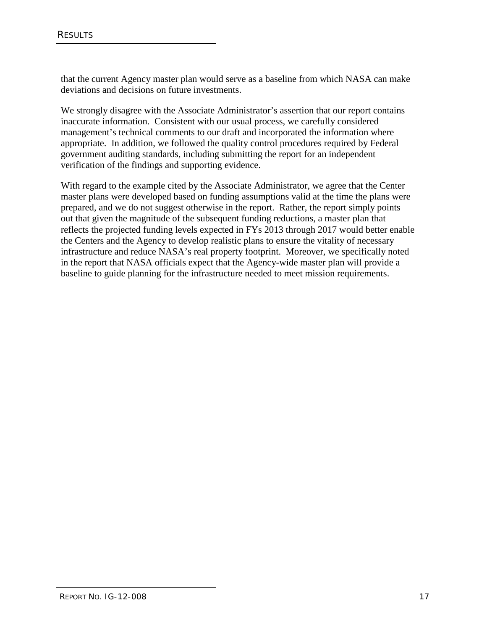that the current Agency master plan would serve as a baseline from which NASA can make deviations and decisions on future investments.

We strongly disagree with the Associate Administrator's assertion that our report contains inaccurate information. Consistent with our usual process, we carefully considered management's technical comments to our draft and incorporated the information where appropriate. In addition, we followed the quality control procedures required by Federal government auditing standards, including submitting the report for an independent verification of the findings and supporting evidence.

With regard to the example cited by the Associate Administrator, we agree that the Center master plans were developed based on funding assumptions valid at the time the plans were prepared, and we do not suggest otherwise in the report. Rather, the report simply points out that given the magnitude of the subsequent funding reductions, a master plan that reflects the projected funding levels expected in FYs 2013 through 2017 would better enable the Centers and the Agency to develop realistic plans to ensure the vitality of necessary infrastructure and reduce NASA's real property footprint. Moreover, we specifically noted in the report that NASA officials expect that the Agency-wide master plan will provide a baseline to guide planning for the infrastructure needed to meet mission requirements.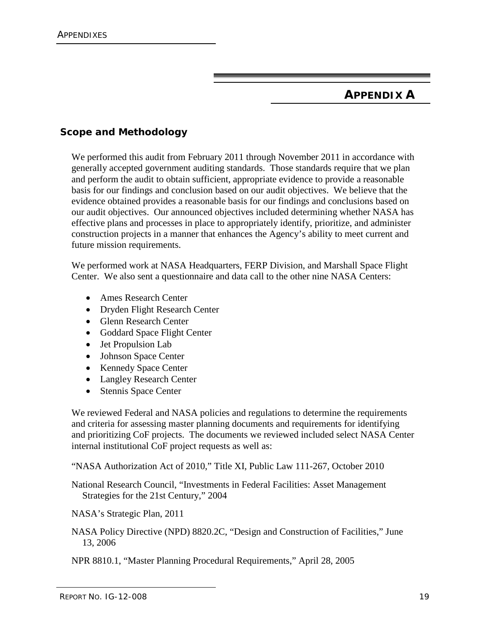# **APPENDIX A**

# **Scope and Methodology**

We performed this audit from February 2011 through November 2011 in accordance with generally accepted government auditing standards. Those standards require that we plan and perform the audit to obtain sufficient, appropriate evidence to provide a reasonable basis for our findings and conclusion based on our audit objectives. We believe that the evidence obtained provides a reasonable basis for our findings and conclusions based on our audit objectives. Our announced objectives included determining whether NASA has effective plans and processes in place to appropriately identify, prioritize, and administer construction projects in a manner that enhances the Agency's ability to meet current and future mission requirements.

We performed work at NASA Headquarters, FERP Division, and Marshall Space Flight Center. We also sent a questionnaire and data call to the other nine NASA Centers:

- Ames Research Center
- Dryden Flight Research Center
- Glenn Research Center
- Goddard Space Flight Center
- Jet Propulsion Lab
- Johnson Space Center
- Kennedy Space Center
- Langley Research Center
- Stennis Space Center

We reviewed Federal and NASA policies and regulations to determine the requirements and criteria for assessing master planning documents and requirements for identifying and prioritizing CoF projects. The documents we reviewed included select NASA Center internal institutional CoF project requests as well as:

"NASA Authorization Act of 2010," Title XI, Public Law 111-267, October 2010

National Research Council, "Investments in Federal Facilities: Asset Management Strategies for the 21st Century," 2004

NASA's Strategic Plan, 2011

NASA Policy Directive (NPD) 8820.2C, "Design and Construction of Facilities," June 13, 2006

NPR 8810.1, "Master Planning Procedural Requirements," April 28, 2005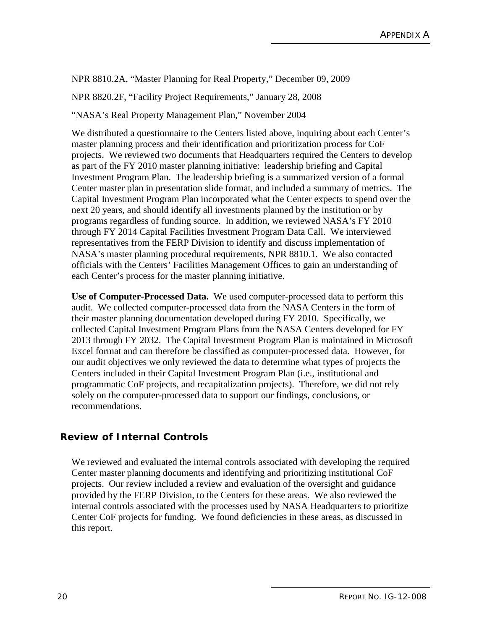NPR 8810.2A, "Master Planning for Real Property," December 09, 2009

NPR 8820.2F, "Facility Project Requirements," January 28, 2008

"NASA's Real Property Management Plan," November 2004

We distributed a questionnaire to the Centers listed above, inquiring about each Center's master planning process and their identification and prioritization process for CoF projects. We reviewed two documents that Headquarters required the Centers to develop as part of the FY 2010 master planning initiative: leadership briefing and Capital Investment Program Plan. The leadership briefing is a summarized version of a formal Center master plan in presentation slide format, and included a summary of metrics. The Capital Investment Program Plan incorporated what the Center expects to spend over the next 20 years, and should identify all investments planned by the institution or by programs regardless of funding source. In addition, we reviewed NASA's FY 2010 through FY 2014 Capital Facilities Investment Program Data Call. We interviewed representatives from the FERP Division to identify and discuss implementation of NASA's master planning procedural requirements, NPR 8810.1. We also contacted officials with the Centers' Facilities Management Offices to gain an understanding of each Center's process for the master planning initiative.

**Use of Computer-Processed Data.** We used computer-processed data to perform this audit. We collected computer-processed data from the NASA Centers in the form of their master planning documentation developed during FY 2010. Specifically, we collected Capital Investment Program Plans from the NASA Centers developed for FY 2013 through FY 2032. The Capital Investment Program Plan is maintained in Microsoft Excel format and can therefore be classified as computer-processed data. However, for our audit objectives we only reviewed the data to determine what types of projects the Centers included in their Capital Investment Program Plan (i.e., institutional and programmatic CoF projects, and recapitalization projects). Therefore, we did not rely solely on the computer-processed data to support our findings, conclusions, or recommendations.

#### **Review of Internal Controls**

We reviewed and evaluated the internal controls associated with developing the required Center master planning documents and identifying and prioritizing institutional CoF projects. Our review included a review and evaluation of the oversight and guidance provided by the FERP Division, to the Centers for these areas. We also reviewed the internal controls associated with the processes used by NASA Headquarters to prioritize Center CoF projects for funding. We found deficiencies in these areas, as discussed in this report.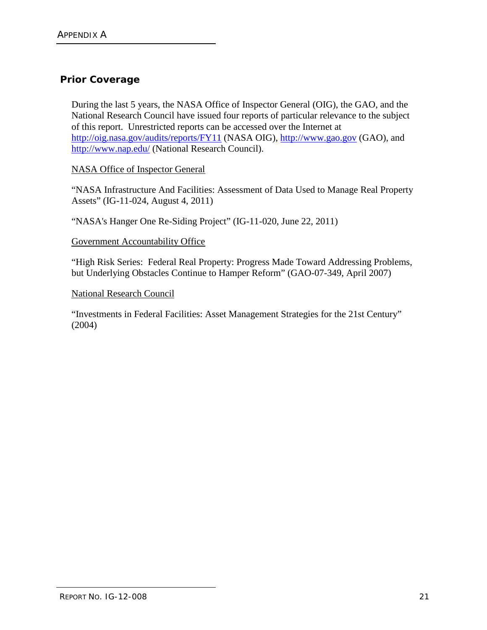## **Prior Coverage**

During the last 5 years, the NASA Office of Inspector General (OIG), the GAO, and the National Research Council have issued four reports of particular relevance to the subject of this report. Unrestricted reports can be accessed over the Internet at <http://oig.nasa.gov/audits/reports/FY11> (NASA OIG), [http://www.gao.gov](http://www.gao.gov/) (GAO), and <http://www.nap.edu/> (National Research Council).

#### NASA Office of Inspector General

"NASA Infrastructure And Facilities: Assessment of Data Used to Manage Real Property Assets" (IG-11-024, August 4, 2011)

"NASA's Hanger One Re-Siding Project" (IG-11-020, June 22, 2011)

#### Government Accountability Office

"High Risk Series: Federal Real Property: Progress Made Toward Addressing Problems, but Underlying Obstacles Continue to Hamper Reform" (GAO-07-349, April 2007)

#### National Research Council

"Investments in Federal Facilities: Asset Management Strategies for the 21st Century" (2004)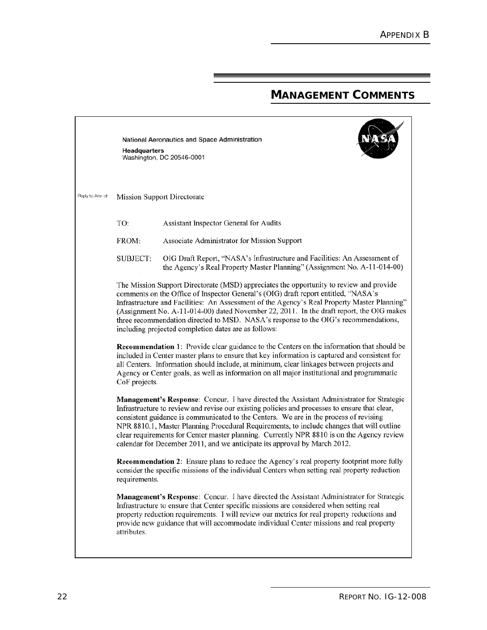## **MANAGEMENT COMMENTS**

National Aeronautics and Space Administration Headquarters Washington, DC 20546-0001



Reply to Attn of: Mission Support Directorate

> TO: Assistant Inspector General for Audits

FROM: Associate Administrator for Mission Support

OIG Draft Report, "NASA's Infrastructure and Facilities: An Assessment of **SUBJECT:** the Agency's Real Property Master Planning" (Assignment No. A-11-014-00)

The Mission Support Directorate (MSD) appreciates the opportunity to review and provide comments on the Office of Inspector General's (OIG) draft report entitled, "NASA's Infrastructure and Facilities: An Assessment of the Agency's Real Property Master Planning" (Assignment No. A-11-014-00) dated November 22, 2011. In the draft report, the OIG makes three recommendation directed to MSD. NASA's response to the OIG's recommendations, including projected completion dates are as follows:

**Recommendation 1:** Provide clear guidance to the Centers on the information that should be included in Center master plans to ensure that key information is captured and consistent for all Centers. Information should include, at minimum, clear linkages between projects and Agency or Center goals, as well as information on all major institutional and programmatic CoF projects.

Management's Response: Concur. I have directed the Assistant Administrator for Strategic Infrastructure to review and revise our existing policies and processes to ensure that clear, consistent guidance is communicated to the Centers. We are in the process of revising NPR 8810.1, Master Planning Procedural Requirements, to include changes that will outline clear requirements for Center master planning. Currently NPR 8810 is on the Agency review calendar for December 2011, and we anticipate its approval by March 2012.

**Recommendation 2:** Ensure plans to reduce the Agency's real property footprint more fully consider the specific missions of the individual Centers when setting real property reduction requirements.

Management's Response: Concur. I have directed the Assistant Administrator for Strategic Infrastructure to ensure that Center specific missions are considered when setting real property reduction requirements. I will review our metrics for real property reductions and provide new guidance that will accommodate individual Center missions and real property attributes.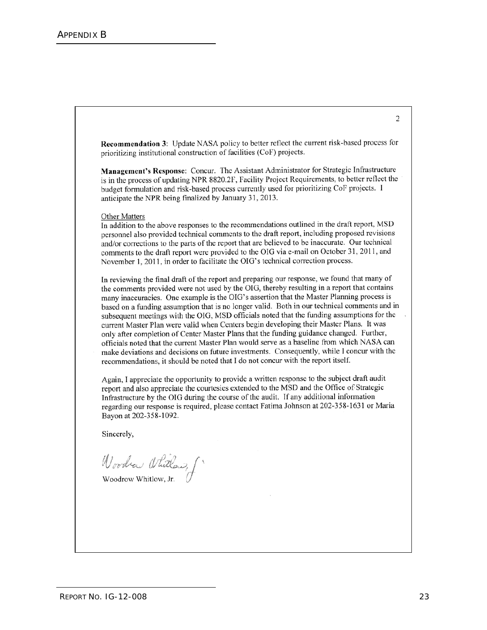Recommendation 3: Update NASA policy to better reflect the current risk-based process for prioritizing institutional construction of facilities (CoF) projects.

Management's Response: Concur. The Assistant Administrator for Strategic Infrastructure is in the process of updating NPR 8820.2F, Facility Project Requirements, to better reflect the budget formulation and risk-based process currently used for prioritizing CoF projects. I anticipate the NPR being finalized by January 31, 2013.

#### **Other Matters**

In addition to the above responses to the recommendations outlined in the draft report, MSD personnel also provided technical comments to the draft report, including proposed revisions and/or corrections to the parts of the report that are believed to be inaccurate. Our technical comments to the draft report were provided to the OIG via e-mail on October 31, 2011, and November 1, 2011, in order to facilitate the OIG's technical correction process.

In reviewing the final draft of the report and preparing our response, we found that many of the comments provided were not used by the OIG, thereby resulting in a report that contains many inaccuracies. One example is the OIG's assertion that the Master Planning process is based on a funding assumption that is no longer valid. Both in our technical comments and in subsequent meetings with the OIG, MSD officials noted that the funding assumptions for the current Master Plan were valid when Centers begin developing their Master Plans. It was only after completion of Center Master Plans that the funding guidance changed. Further, officials noted that the current Master Plan would serve as a baseline from which NASA can make deviations and decisions on future investments. Consequently, while I concur with the recommendations, it should be noted that I do not concur with the report itself.

Again, I appreciate the opportunity to provide a written response to the subject draft audit report and also appreciate the courtesies extended to the MSD and the Office of Strategic Infrastructure by the OIG during the course of the audit. If any additional information regarding our response is required, please contact Fatima Johnson at 202-358-1631 or Maria Bayon at 202-358-1092.

Sincerely,

Woodra Whitlow, f

 $\overline{c}$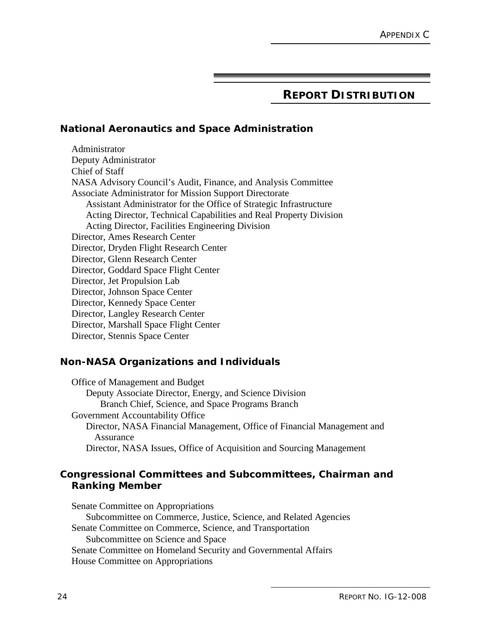# **REPORT DISTRIBUTION**

#### **National Aeronautics and Space Administration**

Administrator Deputy Administrator Chief of Staff NASA Advisory Council's Audit, Finance, and Analysis Committee Associate Administrator for Mission Support Directorate Assistant Administrator for the Office of Strategic Infrastructure Acting Director, Technical Capabilities and Real Property Division Acting Director, Facilities Engineering Division Director, Ames Research Center Director, Dryden Flight Research Center Director, Glenn Research Center Director, Goddard Space Flight Center Director, Jet Propulsion Lab Director, Johnson Space Center Director, Kennedy Space Center Director, Langley Research Center Director, Marshall Space Flight Center Director, Stennis Space Center

#### **Non-NASA Organizations and Individuals**

Office of Management and Budget Deputy Associate Director, Energy, and Science Division Branch Chief, Science, and Space Programs Branch Government Accountability Office Director, NASA Financial Management, Office of Financial Management and Assurance Director, NASA Issues, Office of Acquisition and Sourcing Management

#### **Congressional Committees and Subcommittees, Chairman and Ranking Member**

Senate Committee on Appropriations Subcommittee on Commerce, Justice, Science, and Related Agencies Senate Committee on Commerce, Science, and Transportation Subcommittee on Science and Space Senate Committee on Homeland Security and Governmental Affairs House Committee on Appropriations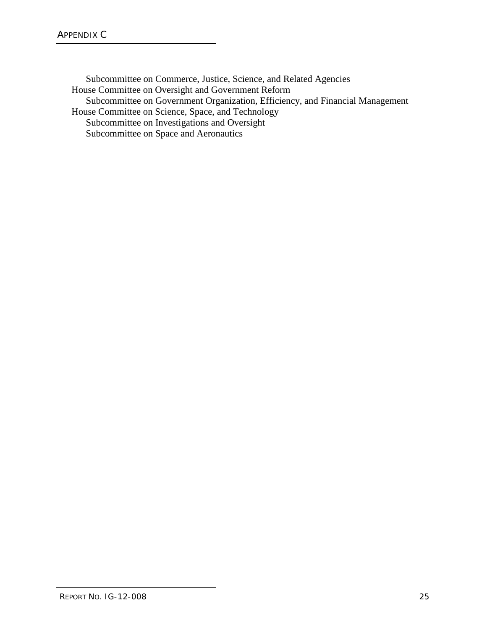Subcommittee on Commerce, Justice, Science, and Related Agencies House Committee on Oversight and Government Reform Subcommittee on Government Organization, Efficiency, and Financial Management House Committee on Science, Space, and Technology Subcommittee on Investigations and Oversight Subcommittee on Space and Aeronautics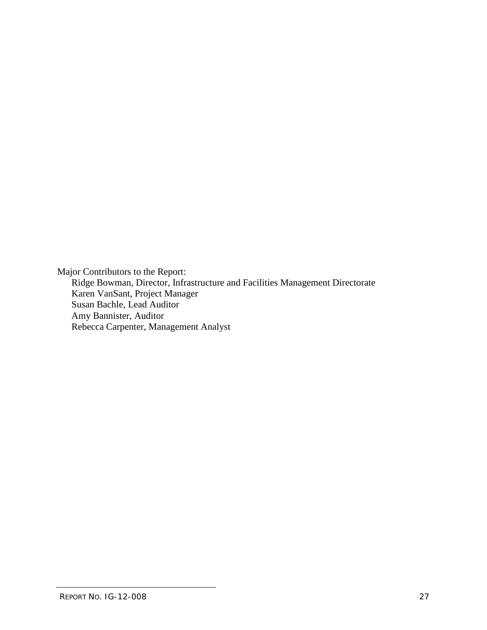Major Contributors to the Report: Ridge Bowman, Director, Infrastructure and Facilities Management Directorate Karen VanSant, Project Manager Susan Bachle, Lead Auditor Amy Bannister, Auditor Rebecca Carpenter, Management Analyst